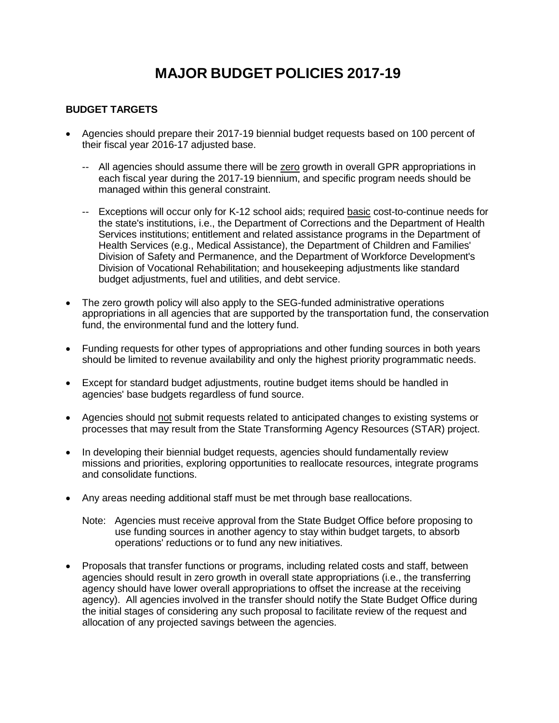# **MAJOR BUDGET POLICIES 2017-19**

#### **BUDGET TARGETS**

- Agencies should prepare their 2017-19 biennial budget requests based on 100 percent of their fiscal year 2016-17 adjusted base.
	- -- All agencies should assume there will be zero growth in overall GPR appropriations in each fiscal year during the 2017-19 biennium, and specific program needs should be managed within this general constraint.
	- -- Exceptions will occur only for K-12 school aids; required basic cost-to-continue needs for the state's institutions, i.e., the Department of Corrections and the Department of Health Services institutions; entitlement and related assistance programs in the Department of Health Services (e.g., Medical Assistance), the Department of Children and Families' Division of Safety and Permanence, and the Department of Workforce Development's Division of Vocational Rehabilitation; and housekeeping adjustments like standard budget adjustments, fuel and utilities, and debt service.
- The zero growth policy will also apply to the SEG-funded administrative operations appropriations in all agencies that are supported by the transportation fund, the conservation fund, the environmental fund and the lottery fund.
- Funding requests for other types of appropriations and other funding sources in both years should be limited to revenue availability and only the highest priority programmatic needs.
- Except for standard budget adjustments, routine budget items should be handled in agencies' base budgets regardless of fund source.
- Agencies should not submit requests related to anticipated changes to existing systems or processes that may result from the State Transforming Agency Resources (STAR) project.
- In developing their biennial budget requests, agencies should fundamentally review missions and priorities, exploring opportunities to reallocate resources, integrate programs and consolidate functions.
- Any areas needing additional staff must be met through base reallocations.
	- Note: Agencies must receive approval from the State Budget Office before proposing to use funding sources in another agency to stay within budget targets, to absorb operations' reductions or to fund any new initiatives.
- Proposals that transfer functions or programs, including related costs and staff, between agencies should result in zero growth in overall state appropriations (i.e., the transferring agency should have lower overall appropriations to offset the increase at the receiving agency). All agencies involved in the transfer should notify the State Budget Office during the initial stages of considering any such proposal to facilitate review of the request and allocation of any projected savings between the agencies.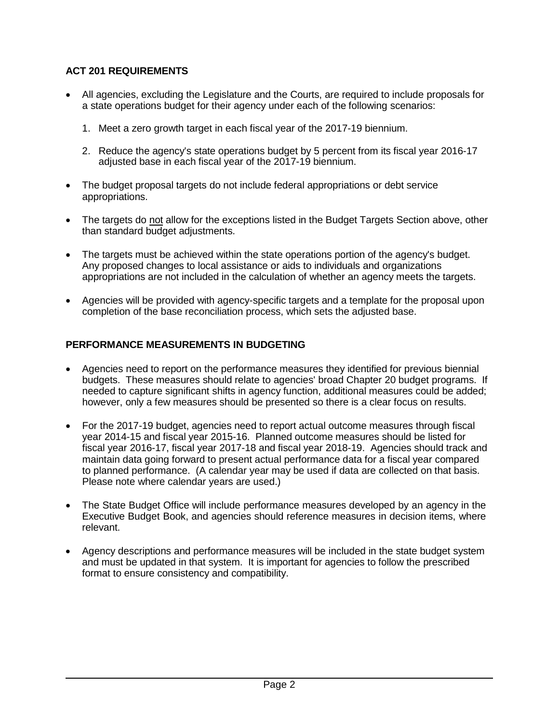## **ACT 201 REQUIREMENTS**

- All agencies, excluding the Legislature and the Courts, are required to include proposals for a state operations budget for their agency under each of the following scenarios:
	- 1. Meet a zero growth target in each fiscal year of the 2017-19 biennium.
	- 2. Reduce the agency's state operations budget by 5 percent from its fiscal year 2016-17 adjusted base in each fiscal year of the 2017-19 biennium.
- The budget proposal targets do not include federal appropriations or debt service appropriations.
- The targets do not allow for the exceptions listed in the Budget Targets Section above, other than standard budget adjustments.
- The targets must be achieved within the state operations portion of the agency's budget. Any proposed changes to local assistance or aids to individuals and organizations appropriations are not included in the calculation of whether an agency meets the targets.
- Agencies will be provided with agency-specific targets and a template for the proposal upon completion of the base reconciliation process, which sets the adjusted base.

#### **PERFORMANCE MEASUREMENTS IN BUDGETING**

- Agencies need to report on the performance measures they identified for previous biennial budgets. These measures should relate to agencies' broad Chapter 20 budget programs. If needed to capture significant shifts in agency function, additional measures could be added; however, only a few measures should be presented so there is a clear focus on results.
- For the 2017-19 budget, agencies need to report actual outcome measures through fiscal year 2014-15 and fiscal year 2015-16. Planned outcome measures should be listed for fiscal year 2016-17, fiscal year 2017-18 and fiscal year 2018-19. Agencies should track and maintain data going forward to present actual performance data for a fiscal year compared to planned performance. (A calendar year may be used if data are collected on that basis. Please note where calendar years are used.)
- The State Budget Office will include performance measures developed by an agency in the Executive Budget Book, and agencies should reference measures in decision items, where relevant.
- Agency descriptions and performance measures will be included in the state budget system and must be updated in that system. It is important for agencies to follow the prescribed format to ensure consistency and compatibility.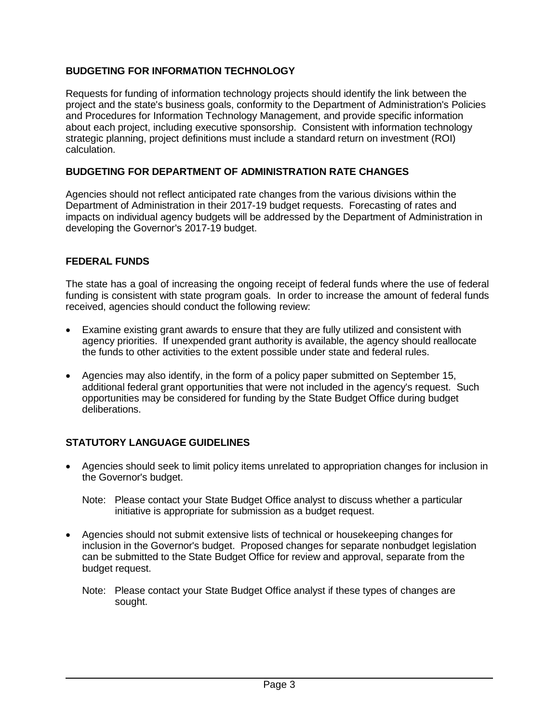## **BUDGETING FOR INFORMATION TECHNOLOGY**

Requests for funding of information technology projects should identify the link between the project and the state's business goals, conformity to the Department of Administration's Policies and Procedures for Information Technology Management, and provide specific information about each project, including executive sponsorship. Consistent with information technology strategic planning, project definitions must include a standard return on investment (ROI) calculation.

#### **BUDGETING FOR DEPARTMENT OF ADMINISTRATION RATE CHANGES**

Agencies should not reflect anticipated rate changes from the various divisions within the Department of Administration in their 2017-19 budget requests. Forecasting of rates and impacts on individual agency budgets will be addressed by the Department of Administration in developing the Governor's 2017-19 budget.

### **FEDERAL FUNDS**

The state has a goal of increasing the ongoing receipt of federal funds where the use of federal funding is consistent with state program goals. In order to increase the amount of federal funds received, agencies should conduct the following review:

- Examine existing grant awards to ensure that they are fully utilized and consistent with agency priorities. If unexpended grant authority is available, the agency should reallocate the funds to other activities to the extent possible under state and federal rules.
- Agencies may also identify, in the form of a policy paper submitted on September 15, additional federal grant opportunities that were not included in the agency's request. Such opportunities may be considered for funding by the State Budget Office during budget deliberations.

### **STATUTORY LANGUAGE GUIDELINES**

• Agencies should seek to limit policy items unrelated to appropriation changes for inclusion in the Governor's budget.

- Agencies should not submit extensive lists of technical or housekeeping changes for inclusion in the Governor's budget. Proposed changes for separate nonbudget legislation can be submitted to the State Budget Office for review and approval, separate from the budget request.
	- Note: Please contact your State Budget Office analyst if these types of changes are sought.

Note: Please contact your State Budget Office analyst to discuss whether a particular initiative is appropriate for submission as a budget request.